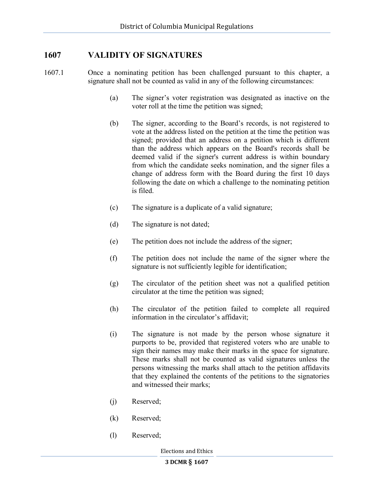## 1607 VALIDITY OF SIGNATURES

- 1607.1 Once a nominating petition has been challenged pursuant to this chapter, a signature shall not be counted as valid in any of the following circumstances:
	- (a) The signer's voter registration was designated as inactive on the voter roll at the time the petition was signed;
	- (b) The signer, according to the Board's records, is not registered to vote at the address listed on the petition at the time the petition was signed; provided that an address on a petition which is different than the address which appears on the Board's records shall be deemed valid if the signer's current address is within boundary from which the candidate seeks nomination, and the signer files a change of address form with the Board during the first 10 days following the date on which a challenge to the nominating petition is filed.
	- (c) The signature is a duplicate of a valid signature;
	- (d) The signature is not dated;
	- (e) The petition does not include the address of the signer;
	- (f) The petition does not include the name of the signer where the signature is not sufficiently legible for identification;
	- (g) The circulator of the petition sheet was not a qualified petition circulator at the time the petition was signed;
	- (h) The circulator of the petition failed to complete all required information in the circulator's affidavit;
	- (i) The signature is not made by the person whose signature it purports to be, provided that registered voters who are unable to sign their names may make their marks in the space for signature. These marks shall not be counted as valid signatures unless the persons witnessing the marks shall attach to the petition affidavits that they explained the contents of the petitions to the signatories and witnessed their marks;
	- (j) Reserved;
	- (k) Reserved;
	- (l) Reserved;

Elections and Ethics